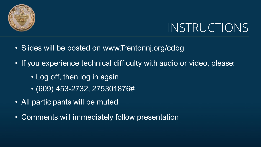

# INSTRUCTIONS

- Slides will be posted on www.Trentonnj.org/cdbg
- If you experience technical difficulty with audio or video, please:
	- Log off, then log in again
	- (609) 453-2732, 275301876#
- All participants will be muted
- Comments will immediately follow presentation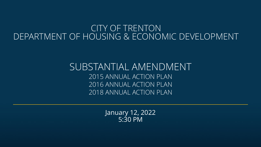#### CITY OF TRENTON DEPARTMENT OF HOUSING & ECONOMIC DEVELOPMENT

#### SUBSTANTIAL AMENDMENT 2015 ANNUAL ACTION PLAN 2016 ANNUAL ACTION PLAN 2018 ANNUAL ACTION PLAN

January 12, 2022 5:30 PM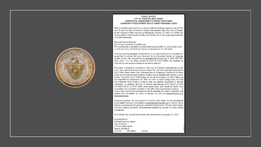

#### **PUBLIC NOTICE** CITY OF TRENTON. NEW JERSEY SUBSTANTIAL AMENDMENT TO PRIOR YEAR FUNDS COMMUNITY DEVELOPMENT BLOCK GRANT PROGRAM (CDBG)

Notice is hereby given that in accordance with the Federal regulations at 24 CFR. Part 91 and the City of Trenton's Citizen Participation Plan, the City of Trenton, NJ will conduct a Public Hearing on Wednesday, January 12, 2022, at 5:30PM. The hearing will be held virtually via Microsoft Teams due to the ongoing prohibitions on public gatherings.

#### **Microsoft Teams Meeting**

Join on your computer or mobile app The meeting link is available at www/trentonnj.org/CDBG or call in (audio only) +1 609-453-2732..275301876# Phone Conference ID: 275 301 876#

Persons requiring language interpretation or accommodations for a disability or would like to receive the plan document in an alternative format or language should contact the Department at gadouglas@trentonni.org or (609) 989-3521 (TDD Users: 7-1-1 NJ Relay Center) at least 48 hours before the hearing. La información será proporcionada en español a petición.

The public is invited to comment on the City of Trenton's amendments to the 2015, 2016 and 2018 Annual Actions Plans. The City will reallocate \$450,000 in 2015 CDBG funds under Park Improvements & Playground Equipment to three public facility improvement projects: Trenton Library, Roebling Wire Works, Carver Center. Fiscal Year 2015 CDBG funds are at risk of recapture by HUD if they are not expended by September 30, 2022. In order to avoid losing funds, the City will reallocate these funds to projects that are nearing completion or already underway. In addition, the City of Trenton will allocate \$275,724.24 of 2016 and \$331,552.35 of 2018 CDBG unallocated funds and remaining funds from completed and canceled activities to the MLK Park Improvement project. A copy of the substantial amendments will be available for public inspection and review from December 16, 2021, to January 16, 2022 at www.trentonni.org/ fedpublicnotices.

Interested persons are encouraged to express their views on the documents at the public hearing or in writing to gadouglas@trentonni.org or mail to City of Trenton, Department of Housing & Economic Development, 319 East State Street, 3rd Floor, Trenton, NJ 08608. All comments received by January 16, 2022, will be considered.

The Trenton City Council will consider the amendment on January 18, 2022.

By Authority of: W. Reed Gusciora, Mayor **City of Trenton** 319 East State Street Trenton, NJ 08618 12/15/21 THE TIMES \$54.81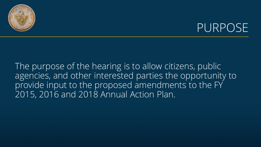

#### PURPOSE

The purpose of the hearing is to allow citizens, public agencies, and other interested parties the opportunity to provide input to the proposed amendments to the FY 2015, 2016 and 2018 Annual Action Plan.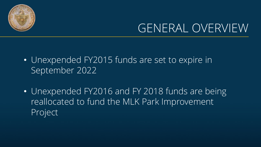

## GENERAL OVERVIEW

- Unexpended FY2015 funds are set to expire in September 2022
- Unexpended FY2016 and FY 2018 funds are being reallocated to fund the MLK Park Improvement Project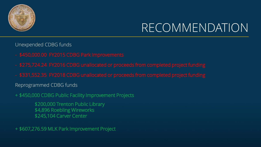

## RECOMMENDATION

Unexpended CDBG funds

- 
- 
- 

Reprogrammed CDBG funds

+ \$450,000 CDBG Public Facility Improvement Projects

\$200,000 Trenton Public Library \$4,896 Roebling Wireworks \$245,104 Carver Center

+ \$607,276.59 MLK Park Improvement Project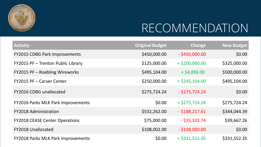

# RECOMMENDATION

| <b>Activity</b>                           | <b>Original Budget</b> | <b>Change</b>    | <b>New Budget</b> |
|-------------------------------------------|------------------------|------------------|-------------------|
| <b>FY2015 CDBG Park Improvements</b>      | \$450,000.00           | $-$ \$450,000.00 | \$0.00            |
| FY2015 PF - Trenton Public Library        | \$125,000.00           | $+$ \$200,000.00 | \$325,000.00      |
| FY2015 PF - Roebling Wireworks            | \$495,104.00           | $+$ \$4,896.00   | \$500,000.00      |
| FY2015 PF - Carver Center                 | \$250,000.00           | $+$ \$245,104.00 | \$495,104.00      |
| <b>FY2016 CDBG unallocated</b>            | \$275,724.24           | $-$ \$275,724.24 | \$0.00            |
| <b>FY2016 Parks MLK Park Improvements</b> | \$0.00                 | $+$ \$275,724.24 | \$275,724.24      |
| <b>FY2018 Administration</b>              | \$532,262.00           | $-$ \$188,217.61 | \$344,044.39      |
| <b>FY2018 CEASE Center Operations</b>     | \$75,000.00            | $-$ \$35,332.74  | \$39,667.26       |
| <b>FY2018 Unallocated</b>                 | \$108,002.00           | $-$ \$108,000.00 | \$0.00            |
| <b>FY2018 Parks MLK Park Improvements</b> | \$0.00                 | $+$ \$331,552.35 | \$331,552.35      |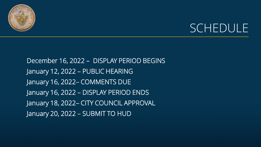

### SCHEDULE

December 16, 2022 – DISPLAY PERIOD BEGINS January 12, 2022 – PUBLIC HEARING January 16, 2022– COMMENTS DUE January 16, 2022 – DISPLAY PERIOD ENDS January 18, 2022– CITY COUNCIL APPROVAL January 20, 2022 – SUBMIT TO HUD